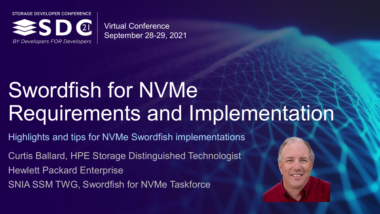STORAGE DEVELOPER CONFERENCE



Virtual Conference September 28-29, 2021

# Swordfish for NVMe Requirements and Implementation

Highlights and tips for NVMe Swordfish implementations

Curtis Ballard, HPE Storage Distinguished Technologist Hewlett Packard Enterprise SNIA SSM TWG, Swordfish for NVMe Taskforce



Here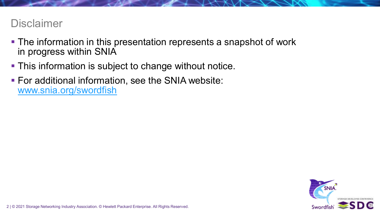## **Disclaimer**

- The information in this presentation represents a snapshot of work in progress within SNIA
- **This information is subject to change without notice.**
- **For additional information, see the SNIA website:** [www.snia.org/swordfish](http://www.snia.org/swordfish)

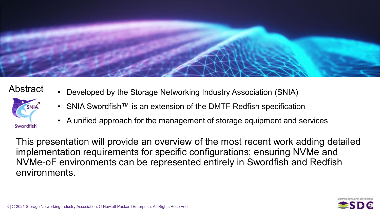

## Abstract



- Developed by the Storage Networking Industry Association (SNIA)
- SNIA Swordfish™ is an extension of the DMTF Redfish specification
- A unified approach for the management of storage equipment and services

This presentation will provide an overview of the most recent work adding detailed implementation requirements for specific configurations; ensuring NVMe and NVMe-oF environments can be represented entirely in Swordfish and Redfish environments.

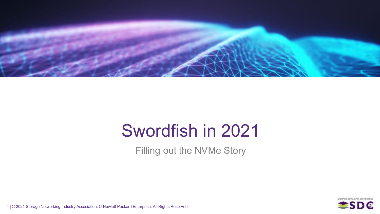

# Swordfish in 2021

Filling out the NVMe Story

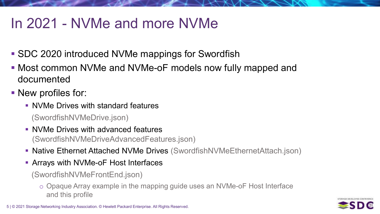# In 2021 - NVMe and more NVMe

- SDC 2020 introduced NVMe mappings for Swordfish
- Most common NVMe and NVMe-oF models now fully mapped and documented
- New profiles for:
	- NVMe Drives with standard features
		- (SwordfishNVMeDrive.json)
	- **NVMe Drives with advanced features** (SwordfishNVMeDriveAdvancedFeatures.json)
	- **Native Ethernet Attached NVMe Drives (SwordfishNVMeEthernetAttach.json)**
	- Arrays with NVMe-oF Host Interfaces

(SwordfishNVMeFrontEnd.json)

o Opaque Array example in the mapping guide uses an NVMe-oF Host Interface and this profile

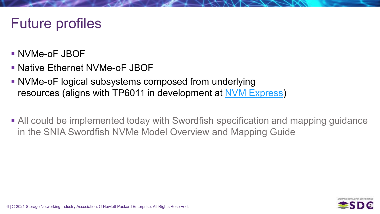# Future profiles

- NVMe-oF JBOF
- Native Ethernet NVMe-oF JBOF
- NVMe-oF logical subsystems composed from underlying resources (aligns with TP6011 in development at [NVM Express\)](https://www.nvmexpress.org/)
- All could be implemented today with Swordfish specification and mapping guidance in the SNIA Swordfish NVMe Model Overview and Mapping Guide

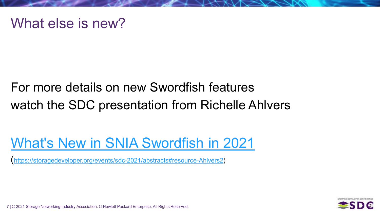## What else is new?

## For more details on new Swordfish features watch the SDC presentation from Richelle Ahlvers

# [What's New in SNIA Swordfish in 2021](https://storagedeveloper.org/events/sdc-2021/abstracts#resource-Ahlvers2)

[\(https://storagedeveloper.org/events/sdc-2021/abstracts#resource-Ahlvers2](https://storagedeveloper.org/events/sdc-2021/abstracts#resource-Ahlvers2))

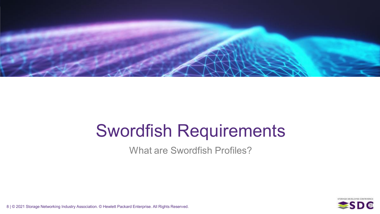

# Swordfish Requirements

What are Swordfish Profiles?

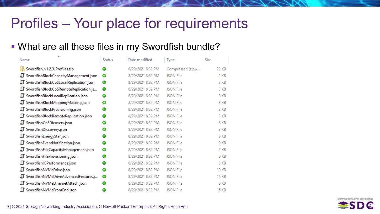# Profiles – Your place for requirements

## What are all these files in my Swordfish bundle?

| e s<br>Name                                  | <b>Status</b> | Date modified     | Type             | Size         |
|----------------------------------------------|---------------|-------------------|------------------|--------------|
| Swordfish_v1.2.3_Profiles.zip                | Ø             | 8/29/2021 8:32 PM | Compressed (zipp | 22 KB        |
| SwordfishBlockCapacityManagement.json        | ⊘             | 8/29/2021 8:32 PM | <b>JSON File</b> | 2 KB         |
| SwordfishBlockCoSLocalReplication.json<br>TЦ | Ø             | 8/29/2021 8:32 PM | <b>JSON File</b> | 3 KB         |
| ॻ<br>SwordfishBlockCoSRemoteReplication.js   | ◉             | 8/29/2021 8:32 PM | <b>JSON File</b> | 3 KB         |
| SwordfishBlockLocalReplication.json<br>ॻ     | అ             | 8/29/2021 8:32 PM | <b>JSON File</b> | 3 KB         |
| SwordfishBlockMappingMasking.json<br>ॻ       | ◙             | 8/29/2021 8:32 PM | <b>JSON File</b> | 3 KB         |
| SwordfishBlockProvisioning.json<br>ॻ         | అ             | 8/29/2021 8:32 PM | <b>JSON File</b> | 2 KB         |
| SwordfishBlockRemoteReplication.json<br>TЦ   | ⊘             | 8/29/2021 8:32 PM | <b>JSON File</b> | 3 KB         |
| SwordfishCoSDicovery.json<br>TЦ              | అ             | 8/29/2021 8:32 PM | <b>JSON File</b> | 6 KB         |
| SwordfishDiscovery.json<br>ॻ                 | అ             | 8/29/2021 8:32 PM | <b>JSON File</b> | 3 KB         |
| SwordfishEnergyStar.json<br>ॻ                | Ø             | 8/29/2021 8:32 PM | <b>JSON File</b> | 3 KB         |
| ॻ<br>SwordfishEventNotification.json         | ◙             | 8/29/2021 8:32 PM | <b>JSON File</b> | 9 KB         |
| ॻ<br>SwordfishFileCapacityManagement.json    | Ø             | 8/29/2021 8:32 PM | <b>JSON File</b> | 2 KB         |
| SwordfishFileProvisioning.json<br>ॻ          | $\bullet$     | 8/29/2021 8:32 PM | <b>JSON File</b> | 3 KB         |
| SwordfishIOPerformance.json<br>TЦ            | అ             | 8/29/2021 8:32 PM | <b>JSON File</b> | 3 KB         |
| SwordfishNVMeDrive.json<br>ॻ                 | Ø             | 8/29/2021 8:32 PM | <b>JSON File</b> | <b>19 KB</b> |
| ॻ<br>SwordfishNVMeDriveAdvancedFeatures.j    | ◙             | 8/29/2021 8:32 PM | <b>JSON File</b> | <b>14 KB</b> |
| ॻ<br>SwordfishNVMeEthernetAttach.json        | ◙             | 8/29/2021 8:32 PM | <b>JSON File</b> | 8 KB         |
| ТΤ<br>SwordfishNVMeFrontEnd.json             | Ø             | 8/29/2021 8:32 PM | <b>JSON File</b> | <b>15 KB</b> |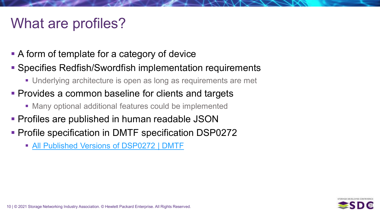# What are profiles?

- A form of template for a category of device
- Specifies Redfish/Swordfish implementation requirements
	- Underlying architecture is open as long as requirements are met
- **Provides a common baseline for clients and targets** 
	- Many optional additional features could be implemented
- **Profiles are published in human readable JSON**
- **Profile specification in DMTF specification DSP0272** 
	- **[All Published Versions of DSP0272](https://www.dmtf.org/dsp/DSP0272) | DMTF**

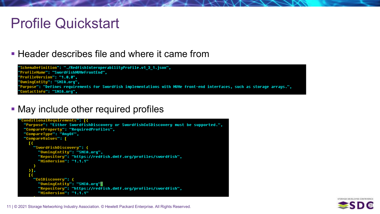# Profile Quickstart

## **Header describes file and where it came from**

"SchemaDefinition": "./RedfishInteroperabilityProfile.v1 3 1.json", "ProfileName": "SwordfishNUMeFrontEnd", **'ProfileVersion": "1.0.0",** "OwningEntity": "SNIA.org", "Purpose": "Defines requirements for Swordfish implementations with NVMe front-end interfaces, such as storage arrays.", 'ContactInfo": "SNIA.org",

• May include other required profiles

```
'ConditionalRequirements": [{
"Purpose": "Either SwordfishDiscovery or SwordfishCoSDiscovery must be supported.",
 "CompareProperty": "RequiredProfiles",
 "CompareType": "AnyOf",
 "CompareValues": [
  \mathbf{R}"SwordfishDiscovery": {
      "OwningEntity": "SNIA.org",
       "Repository": "https://redfish.dmtf.org/profiles/swordfish",
       "MinVersion": "1.1.1"
  \lambda],
     "CoSDiscovery": {
      "OwningEntity": "SNIA.org"
       "Repository": "https://redfish.dmtf.org/profiles/swordfish",
       "MinVersion": "1.1.1"
```
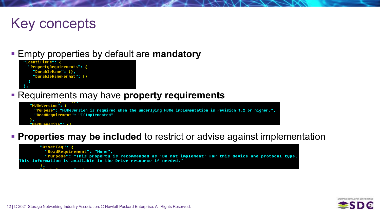## Key concepts

## Empty properties by default are **mandatory**



## Requirements may have **property requirements**



## **Properties may be included** to restrict or advise against implementation

#### "AssetTaq": { "ReadRequirement": "None", "Purpose": "This property is recommended as 'Do not implement' for this device and protocol type. This information is available in the Drive resource if needed." λ,

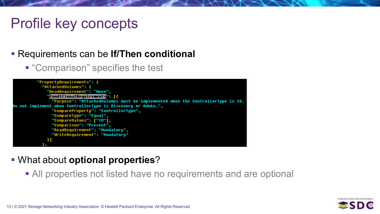# Profile key concepts

## Requirements can be **If/Then conditional**

■ "Comparison" specifies the test



- What about **optional properties**?
	- All properties not listed have no requirements and are optional

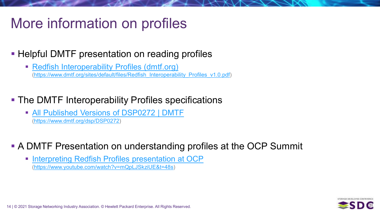# More information on profiles

- **Helpful DMTF presentation on reading profiles** 
	- **[Redfish Interoperability Profiles \(dmtf.org\)](https://www.dmtf.org/sites/default/files/Redfish_Interoperability_Profiles_v1.0.pdf)** ([https://www.dmtf.org/sites/default/files/Redfish\\_Interoperability\\_Profiles\\_v1.0.pdf\)](https://www.dmtf.org/sites/default/files/Redfish_Interoperability_Profiles_v1.0.pdf)
- **The DMTF Interoperability Profiles specifications** 
	- [All Published Versions of DSP0272 | DMTF](https://www.dmtf.org/dsp/DSP0272) (<https://www.dmtf.org/dsp/DSP0272>)
- A DMTF Presentation on understanding profiles at the OCP Summit
	- **[Interpreting Redfish Profiles presentation at OCP](https://www.youtube.com/watch?v=mQpLJSkziUE&t=48s)** (<https://www.youtube.com/watch?v=mQpLJSkziUE&t=48s>)

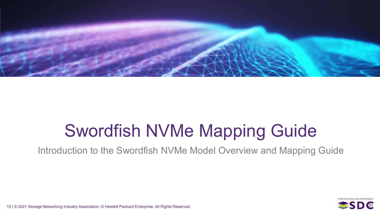

# Swordfish NVMe Mapping Guide

Introduction to the Swordfish NVMe Model Overview and Mapping Guide

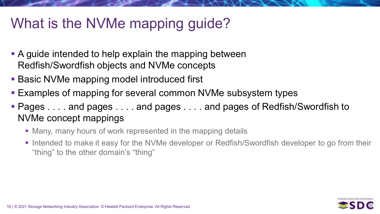# What is the NVMe mapping guide?

- **A** guide intended to help explain the mapping between Redfish/Swordfish objects and NVMe concepts
- **Basic NVMe mapping model introduced first**
- **Examples of mapping for several common NVMe subsystem types**
- Pages . . . . and pages . . . . and pages . . . . and pages of Redfish/Swordfish to NVMe concept mappings
	- Many, many hours of work represented in the mapping details
	- **Intended to make it easy for the NVMe developer or Redfish/Swordfish developer to go from their** "thing" to the other domain's "thing"

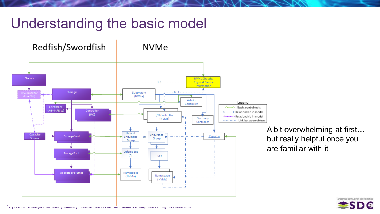# Understanding the basic model



A bit overwhelming at first… but really helpful once you are familiar with it

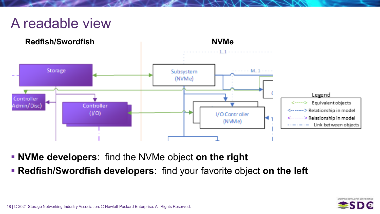# A readable view



- **NVMe developers**: find the NVMe object **on the right**
- **Redfish/Swordfish developers**: find your favorite object **on the left**

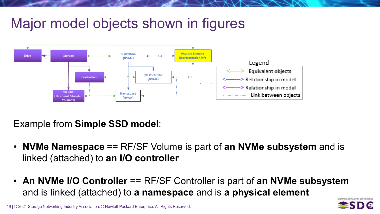# Major model objects shown in figures



Example from **Simple SSD model**:

- **NVMe Namespace** == RF/SF Volume is part of **an NVMe subsystem** and is linked (attached) to **an I/O controller**
- **An NVMe I/O Controller** == RF/SF Controller is part of **an NVMe subsystem**  and is linked (attached) to **a namespace** and is **a physical element**

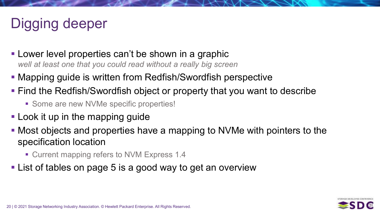# Digging deeper

- **Lower level properties can't be shown in a graphic** *well at least one that you could read without a really big screen*
- Mapping guide is written from Redfish/Swordfish perspective
- **Find the Redfish/Swordfish object or property that you want to describe** 
	- Some are new NVMe specific properties!
- **Look it up in the mapping guide**
- Most objects and properties have a mapping to NVMe with pointers to the specification location
	- Current mapping refers to NVM Express 1.4
- **-List of tables on page 5 is a good way to get an overview**

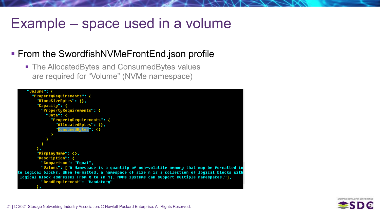# Example – space used in a volume

## **From the SwordfishNVMeFrontEnd.json profile**

**The AllocatedBytes and ConsumedBytes values** are required for "Volume" (NVMe namespace)



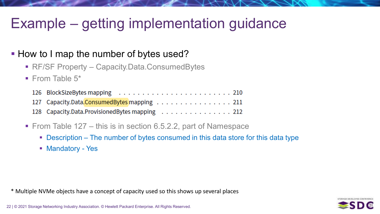# Example – getting implementation guidance

## **How to I map the number of bytes used?**

- RF/SF Property Capacity.Data.ConsumedBytes
- $\blacksquare$  From Table 5\*

| 127 Capacity.Data.ConsumedBytes mapping 211    |
|------------------------------------------------|
| 128 Capacity.Data.ProvisionedBytes mapping 212 |

- From Table  $127 -$  this is in section 6.5.2.2, part of Namespace
	- Description The number of bytes consumed in this data store for this data type
	- **Mandatory Yes**

\* Multiple NVMe objects have a concept of capacity used so this shows up several places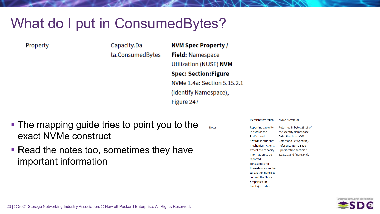# What do I put in ConsumedBytes?

Property

Capacity.Da **NVM Spec Property /** ta.ConsumedBytes **Field: Namespace Utilization (NUSE) NVM Spec: Section:Figure** NVMe 1.4a: Section 5.15.2.1 (Identify Namespace), Figure 247

**Notes** 

- The mapping guide tries to point you to the exact NVMe construct
- Read the notes too, sometimes they have important information

| R edfish/Swordfish            | NVMe / NVMe-oF             |
|-------------------------------|----------------------------|
| Reporting capacity            | Returned in bytes 23:16 of |
| in bytes is the               | the Identify Namespace     |
| <b>Redfish and</b>            | Data Structure (NVM        |
| Swordfish standard            | Command Set Specific).     |
| mechanism. Clients            | Reference NVMe Base        |
| expect the capacity           | Specification section n    |
| information to be<br>reported | 5.15.2.1 and figure 247).  |
| consistently for              |                            |
| these devices, so the         |                            |
| calculation here is to        |                            |
| convert the NVMe              |                            |
| properties (in                |                            |
| blocks) to bytes.             |                            |

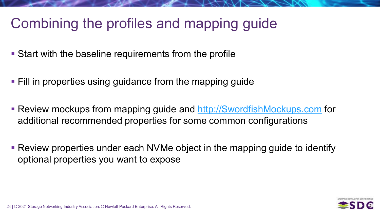# Combining the profiles and mapping guide

- Start with the baseline requirements from the profile
- **Fill in properties using guidance from the mapping guide**
- Review mockups from mapping guide and [http://SwordfishMockups.com](http://swordfishmockups.com/) for additional recommended properties for some common configurations
- Review properties under each NVMe object in the mapping guide to identify optional properties you want to expose

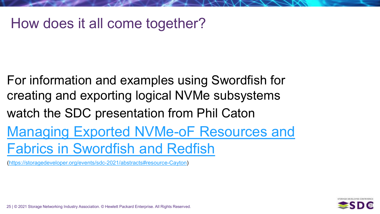## How does it all come together?

For information and examples using Swordfish for creating and exporting logical NVMe subsystems watch the SDC presentation from Phil Caton [Managing Exported NVMe-oF Resources and](https://storagedeveloper.org/events/sdc-2021/abstracts#resource-Cayton)  Fabrics in Swordfish and Redfish

[\(https://storagedeveloper.org/events/sdc-2021/abstracts#resource-Cayton\)](https://storagedeveloper.org/events/sdc-2021/abstracts#resource-Cayton)

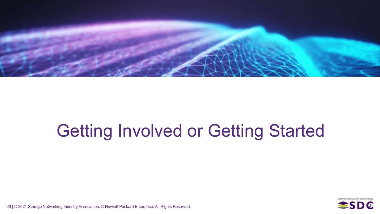

# Getting Involved or Getting Started

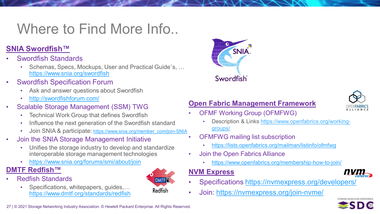# Where to Find More Info...

#### **SNIA Swordfish™**

- Swordfish Standards
	- Schemas, Specs, Mockups, User and Practical Guide`s, … <https://www.snia.org/swordfish>
- **Swordfish Specification Forum** 
	- Ask and answer questions about Swordfish
	- <http://swordfishforum.com/>
- Scalable Storage Management (SSM) TWG
	- Technical Work Group that defines Swordfish
	- Influence the next generation of the Swordfish standard
	- Join SNIA & participate: [https://www.snia.org/member\\_com/join-SNIA](https://www.snia.org/member_com/join-SNIA)
- Join the SNIA Storage Management Initiative
	- Unifies the storage industry to develop and standardize interoperable storage management technologies
	- <https://www.snia.org/forums/smi/about/join>

#### **DMTF Redfish™**

- Redfish Standards
	- Specifications, whitepapers, guides,… <https://www.dmtf.org/standards/redfish>





#### **Open Fabric Management Framework**



- OFMF Working Group (OFMFWG)
	- [Description & Links https://www.openfabrics.org/working](https://www.openfabrics.org/working-groups/)groups/
- OFMFWG mailing list subscription
	- <https://lists.openfabrics.org/mailman/listinfo/ofmfwg>
- Join the Open Fabrics Alliance
	- <https://www.openfabrics.org/membership-how-to-join/>

#### **NVM Express**



- Specifications<https://nvmexpress.org/developers/>
- Join:<https://nvmexpress.org/join-nvme/>